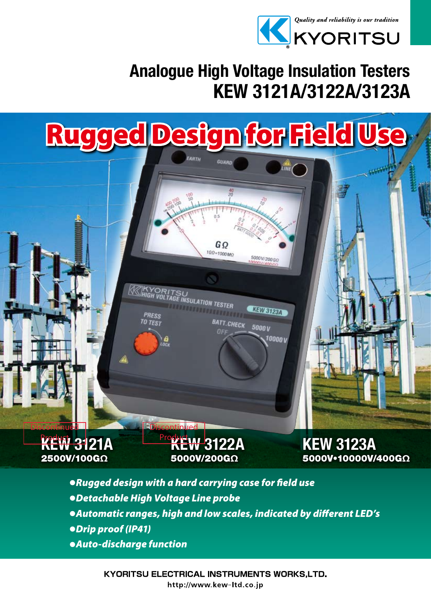

KEW 3123A

5000V•10000V/400GΩ

### KEW 3121A/3122A/3123A Analogue High Voltage Insulation Testers

5000V/200GO

KEW S123A

10000 v

 $5000V$ 

## Rugged Design for Field U

GΩ 1GQ=1000MO

**BATT.CHECK** 

**INSULATION TESTER** 



**Product W 3122A** 5000V/200GΩ

**Discontinued** 

**KEW 3121A** 2500V/100GΩ

**Discontinued** 

**KYORITSU ELECTRICAL INSTRUMENTS WORKS,LTD.** http://www.kew-ltd.co.jp